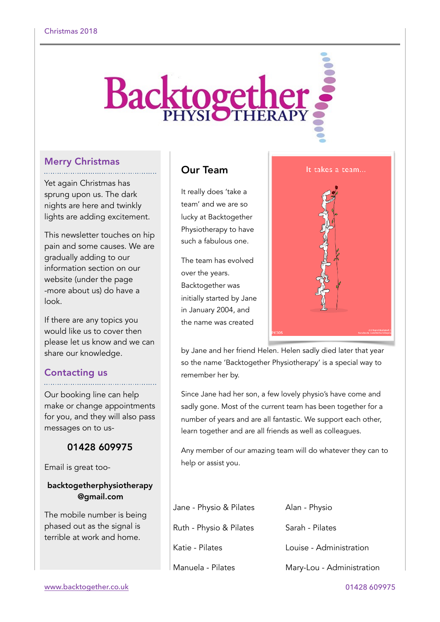# **Backtogether**

## Merry Christmas

Yet again Christmas has sprung upon us. The dark nights are here and twinkly lights are adding excitement.

This newsletter touches on hip pain and some causes. We are gradually adding to our information section on our website (under the page -more about us) do have a look.

If there are any topics you would like us to cover then please let us know and we can share our knowledge.

# Contacting us

Our booking line can help make or change appointments for you, and they will also pass messages on to us-

## 01428 609975

Email is great too-

## backtogetherphysiotherapy @gmail.com

The mobile number is being phased out as the signal is terrible at work and home.

# Our Team

It really does 'take a team' and we are so lucky at Backtogether Physiotherapy to have such a fabulous one.

The team has evolved over the years. Backtogether was initially started by Jane in January 2004, and the name was created



by Jane and her friend Helen. Helen sadly died later that year so the name 'Backtogether Physiotherapy' is a special way to remember her by.

Since Jane had her son, a few lovely physio's have come and sadly gone. Most of the current team has been together for a number of years and are all fantastic. We support each other, learn together and are all friends as well as colleagues.

Any member of our amazing team will do whatever they can to help or assist you.

| Jane - Physio & Pilates | Alan - Physio             |
|-------------------------|---------------------------|
| Ruth - Physio & Pilates | Sarah - Pilates           |
| Katie - Pilates         | Louise - Administration   |
| Manuela - Pilates       | Mary-Lou - Administration |